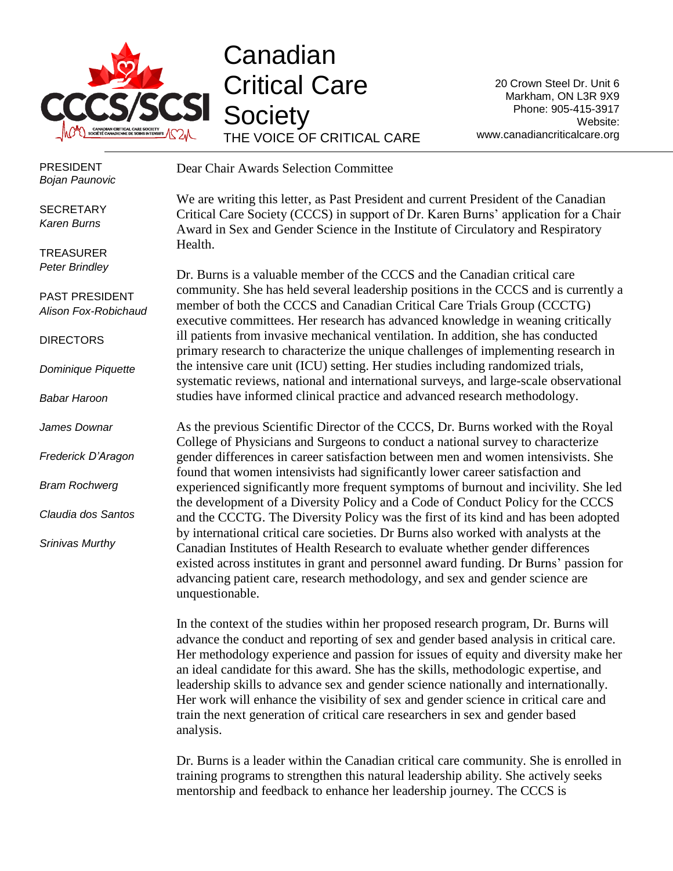

## Canadian Critical Care **Society** THE VOICE OF CRITICAL CARE

20 Crown Steel Dr. Unit 6 Markham, ON L3R 9X9 Phone: 905-415-3917 Website: www.canadiancriticalcare.org

PRESIDENT *Bojan Paunovic*

**SECRETARY** *Karen Burns*

TREASURER *Peter Brindley*

PAST PRESIDENT *Alison Fox-Robichaud*

DIRECTORS

*Dominique Piquette*

*Babar Haroon*

*James Downar*

*Frederick D'Aragon*

*Bram Rochwerg*

*Claudia dos Santos*

*Srinivas Murthy*

Dear Chair Awards Selection Committee

We are writing this letter, as Past President and current President of the Canadian Critical Care Society (CCCS) in support of Dr. Karen Burns' application for a Chair Award in Sex and Gender Science in the Institute of Circulatory and Respiratory Health.

Dr. Burns is a valuable member of the CCCS and the Canadian critical care community. She has held several leadership positions in the CCCS and is currently a member of both the CCCS and Canadian Critical Care Trials Group (CCCTG) executive committees. Her research has advanced knowledge in weaning critically ill patients from invasive mechanical ventilation. In addition, she has conducted primary research to characterize the unique challenges of implementing research in the intensive care unit (ICU) setting. Her studies including randomized trials, systematic reviews, national and international surveys, and large-scale observational studies have informed clinical practice and advanced research methodology.

As the previous Scientific Director of the CCCS, Dr. Burns worked with the Royal College of Physicians and Surgeons to conduct a national survey to characterize gender differences in career satisfaction between men and women intensivists. She found that women intensivists had significantly lower career satisfaction and experienced significantly more frequent symptoms of burnout and incivility. She led the development of a Diversity Policy and a Code of Conduct Policy for the CCCS and the CCCTG. The Diversity Policy was the first of its kind and has been adopted by international critical care societies. Dr Burns also worked with analysts at the Canadian Institutes of Health Research to evaluate whether gender differences existed across institutes in grant and personnel award funding. Dr Burns' passion for advancing patient care, research methodology, and sex and gender science are unquestionable.

In the context of the studies within her proposed research program, Dr. Burns will advance the conduct and reporting of sex and gender based analysis in critical care. Her methodology experience and passion for issues of equity and diversity make her an ideal candidate for this award. She has the skills, methodologic expertise, and leadership skills to advance sex and gender science nationally and internationally. Her work will enhance the visibility of sex and gender science in critical care and train the next generation of critical care researchers in sex and gender based analysis.

Dr. Burns is a leader within the Canadian critical care community. She is enrolled in training programs to strengthen this natural leadership ability. She actively seeks mentorship and feedback to enhance her leadership journey. The CCCS is